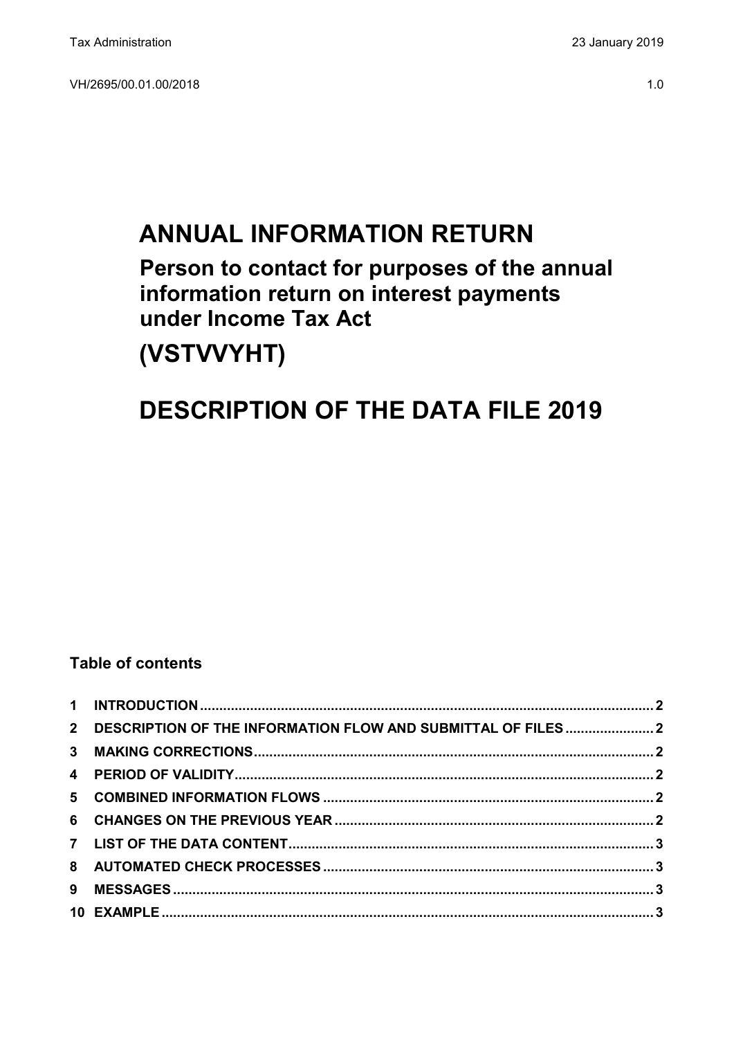# **ANNUAL INFORMATION RETURN**

**Person to contact for purposes of the annual information return on interest payments under Income Tax Act** 

## **(VSTVVYHT)**

### **DESCRIPTION OF THE DATA FILE 2019**

#### **Table of contents**

| 2 DESCRIPTION OF THE INFORMATION FLOW AND SUBMITTAL OF FILES 2 |  |
|----------------------------------------------------------------|--|
|                                                                |  |
|                                                                |  |
|                                                                |  |
|                                                                |  |
|                                                                |  |
|                                                                |  |
|                                                                |  |
|                                                                |  |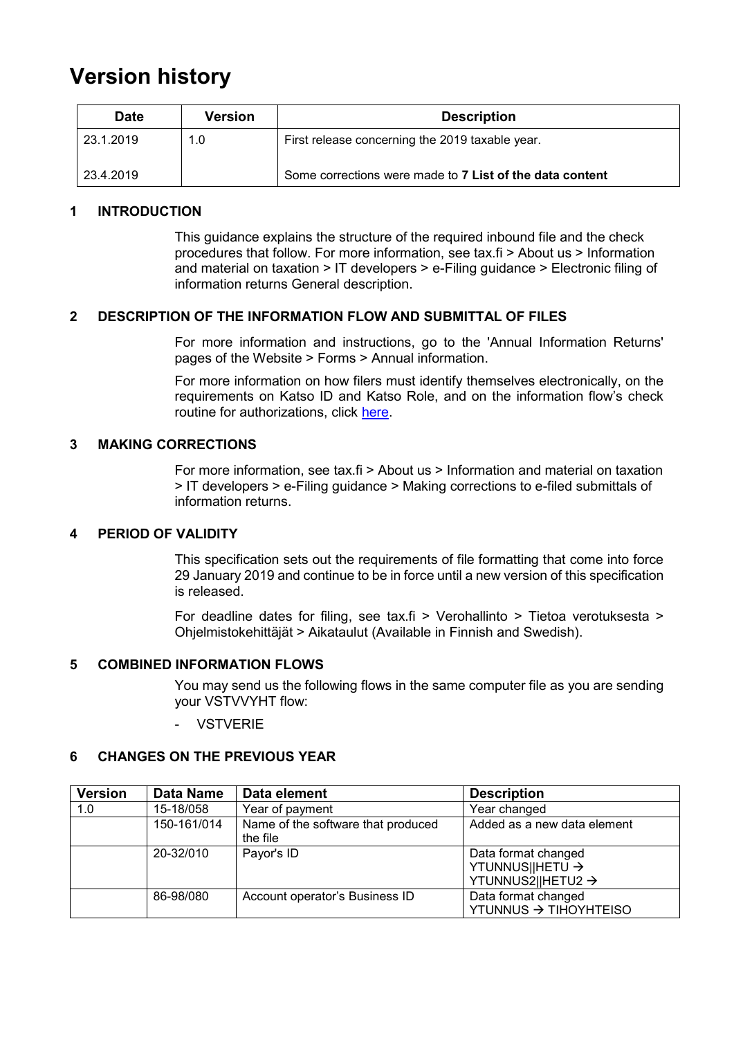### **Version history**

| Version<br><b>Date</b> |     | <b>Description</b>                                       |  |
|------------------------|-----|----------------------------------------------------------|--|
| 23.1.2019              | 1.0 | First release concerning the 2019 taxable year.          |  |
| 23.4.2019              |     | Some corrections were made to 7 List of the data content |  |

#### <span id="page-1-0"></span>**1 INTRODUCTION**

This guidance explains the structure of the required inbound file and the check procedures that follow. For more information, see tax.fi > About us > Information and material on taxation > IT developers > e-Filing guidance > Electronic filing of information returns General description.

#### <span id="page-1-1"></span>**2 DESCRIPTION OF THE INFORMATION FLOW AND SUBMITTAL OF FILES**

For more information and instructions, go to the 'Annual Information Returns' pages of the Website > Forms > Annual information.

For more information on how filers must identify themselves electronically, on the requirements on Katso ID and Katso Role, and on the information flow's check routine for authorizations, click [here.](https://www.ilmoitin.fi/webtamo/sivut/IlmoituslajiRoolit?kieli=en&tv=VSTVVYHT)

#### <span id="page-1-2"></span>**3 MAKING CORRECTIONS**

For more information, see tax.fi > About us > Information and material on taxation > IT developers > e-Filing guidance > Making corrections to e-filed submittals of information returns.

#### <span id="page-1-3"></span>**4 PERIOD OF VALIDITY**

This specification sets out the requirements of file formatting that come into force 29 January 2019 and continue to be in force until a new version of this specification is released.

For deadline dates for filing, see tax.fi > Verohallinto > Tietoa verotuksesta > Ohjelmistokehittäjät > Aikataulut (Available in Finnish and Swedish).

#### <span id="page-1-4"></span>**5 COMBINED INFORMATION FLOWS**

You may send us the following flows in the same computer file as you are sending your VSTVVYHT flow:

**VSTVERIE** 

#### <span id="page-1-5"></span>**6 CHANGES ON THE PREVIOUS YEAR**

| <b>Version</b> | Data Name   | Data element                                   | <b>Description</b>                                                      |
|----------------|-------------|------------------------------------------------|-------------------------------------------------------------------------|
| 1.0            | 15-18/058   | Year of payment                                | Year changed                                                            |
|                | 150-161/014 | Name of the software that produced<br>the file | Added as a new data element                                             |
|                | 20-32/010   | Payor's ID                                     | Data format changed<br>YTUNNUS  HETU →<br>YTUNNUS2  HETU2 $\rightarrow$ |
|                | 86-98/080   | Account operator's Business ID                 | Data format changed<br>YTUNNUS → TIHOYHTEISO                            |